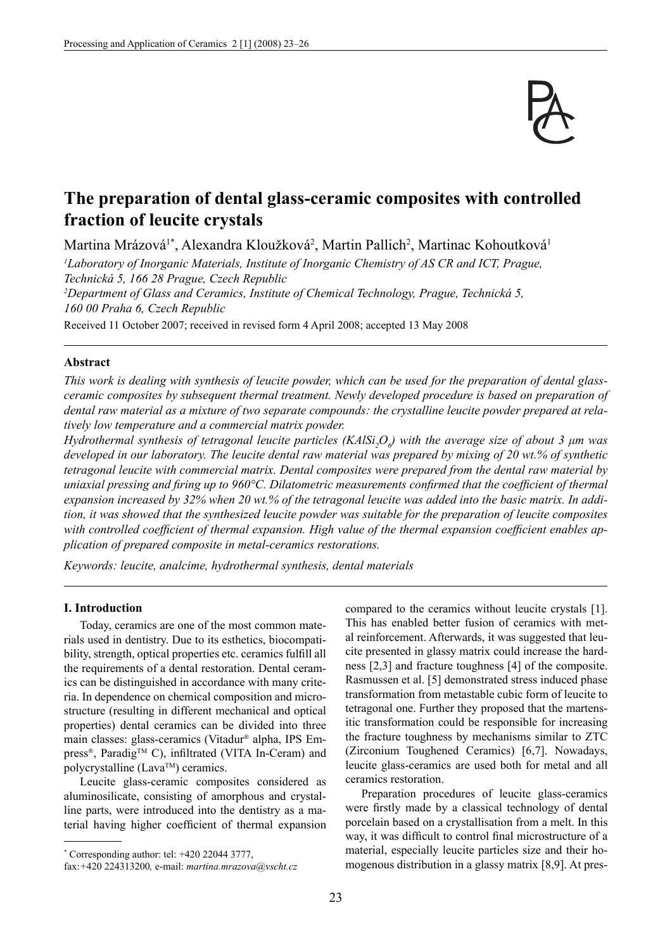

# **The preparation of dental glass-ceramic composites with controlled fraction of leucite crystals**

Martina Mrázová<sup>1\*</sup>, Alexandra Kloužková<sup>2</sup>, Martin Pallich<sup>2</sup>, Martinac Kohoutková<sup>1</sup>

*1 Laboratory of Inorganic Materials, Institute of Inorganic Chemistry of AS CR and ICT, Prague, Technická 5, 166 28 Prague, Czech Republic 2 Department of Glass and Ceramics, Institute of Chemical Technology, Prague, Technická 5, 160 00 Praha 6, Czech Republic*

Received 11 October 2007; received in revised form 4 April 2008; accepted 13 May 2008

## **Abstract**

*This work is dealing with synthesis of leucite powder, which can be used for the preparation of dental glassceramic composites by subsequent thermal treatment. Newly developed procedure is based on preparation of dental raw material as a mixture of two separate compounds: the crystalline leucite powder prepared at relatively low temperature and a commercial matrix powder.*

*Hydrothermal synthesis of tetragonal leucite particles (KAlSi<sub>2</sub>O<sub>6</sub>) with the average size of about 3 μm was developed in our laboratory. The leucite dental raw material was prepared by mixing of 20 wt.% of synthetic tetragonal leucite with commercial matrix. Dental composites were prepared from the dental raw material by uniaxial pressing and firing up to 960°C. Dilatometric measurements confirmed that the coefficient of thermal expansion increased by 32% when 20 wt.% of the tetragonal leucite was added into the basic matrix. In addition, it was showed that the synthesized leucite powder was suitable for the preparation of leucite composites*  with controlled coefficient of thermal expansion. High value of the thermal expansion coefficient enables ap*plication of prepared composite in metal-ceramics restorations.*

*Keywords: leucite, analcime, hydrothermal synthesis, dental materials*

#### **I. Introduction**

Today, ceramics are one of the most common materials used in dentistry. Due to its esthetics, biocompatibility, strength, optical properties etc. ceramics fulfill all the requirements of a dental restoration. Dental ceramics can be distinguished in accordance with many criteria. In dependence on chemical composition and microstructure (resulting in different mechanical and optical properties) dental ceramics can be divided into three main classes: glass-ceramics (Vitadur® alpha, IPS Em $press^{\circledR}$ , Paradig<sup>TM</sup> C), infiltrated (VITA In-Ceram) and polycrystalline (Lava™) ceramics.

Leucite glass-ceramic composites considered as aluminosilicate, consisting of amorphous and crystalline parts, were introduced into the dentistry as a material having higher coefficient of thermal expansion

\* Corresponding author: tel: +420 22044 3777,

compared to the ceramics without leucite crystals [1]. This has enabled better fusion of ceramics with metal reinforcement. Afterwards, it was suggested that leucite presented in glassy matrix could increase the hardness [2,3] and fracture toughness [4] of the composite. Rasmussen et al. [5] demonstrated stress induced phase transformation from metastable cubic form of leucite to tetragonal one. Further they proposed that the martensitic transformation could be responsible for increasing the fracture toughness by mechanisms similar to ZTC (Zirconium Toughened Ceramics) [6,7]. Nowadays, leucite glass-ceramics are used both for metal and all ceramics restoration.

Preparation procedures of leucite glass-ceramics were firstly made by a classical technology of dental porcelain based on a crystallisation from a melt. In this way, it was difficult to control final microstructure of a material, especially leucite particles size and their homogenous distribution in a glassy matrix [8,9]. At pres-

fax:*+*420 224313200*,* e-mail: *martina.mrazova@vscht.cz*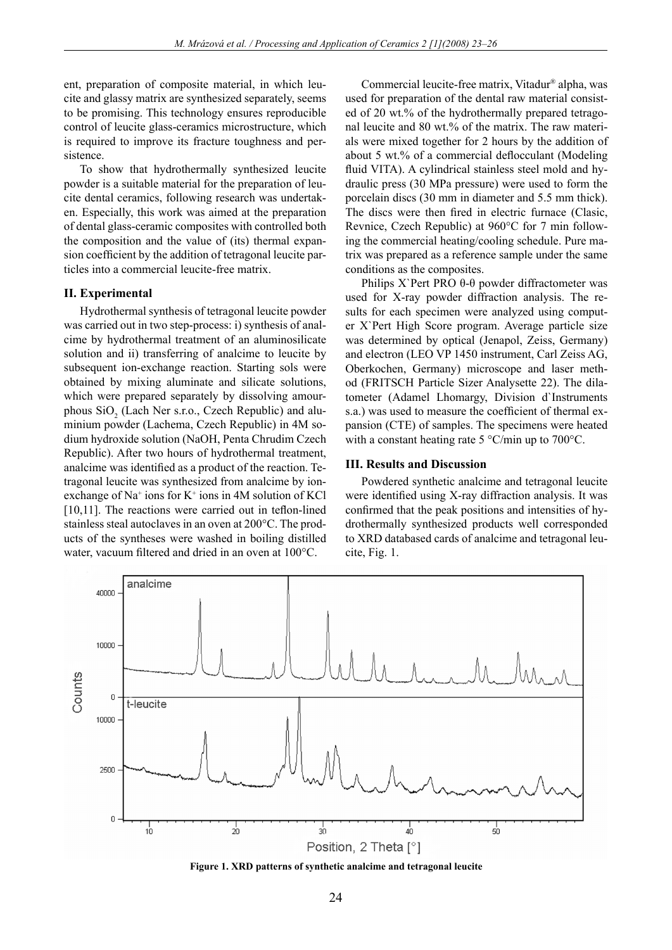ent, preparation of composite material, in which leucite and glassy matrix are synthesized separately, seems to be promising. This technology ensures reproducible control of leucite glass-ceramics microstructure, which is required to improve its fracture toughness and persistence.

To show that hydrothermally synthesized leucite powder is a suitable material for the preparation of leucite dental ceramics, following research was undertaken. Especially, this work was aimed at the preparation of dental glass-ceramic composites with controlled both the composition and the value of (its) thermal expansion coefficient by the addition of tetragonal leucite particles into a commercial leucite-free matrix.

#### **II. Experimental**

Hydrothermal synthesis of tetragonal leucite powder was carried out in two step-process: i) synthesis of analcime by hydrothermal treatment of an aluminosilicate solution and ii) transferring of analcime to leucite by subsequent ion-exchange reaction. Starting sols were obtained by mixing aluminate and silicate solutions, which were prepared separately by dissolving amourphous  $SiO_2$  (Lach Ner s.r.o., Czech Republic) and aluminium powder (Lachema, Czech Republic) in 4M sodium hydroxide solution (NaOH, Penta Chrudim Czech Republic). After two hours of hydrothermal treatment, analcime was identified as a product of the reaction. Tetragonal leucite was synthesized from analcime by ionexchange of  $Na^+$  ions for  $K^+$  ions in 4M solution of KCl  $[10,11]$ . The reactions were carried out in teflon-lined stainless steal autoclaves in an oven at 200°C. The products of the syntheses were washed in boiling distilled water, vacuum filtered and dried in an oven at  $100^{\circ}$ C.

Commercial leucite-free matrix, Vitadur® alpha, was used for preparation of the dental raw material consisted of 20 wt.% of the hydrothermally prepared tetragonal leucite and 80 wt.% of the matrix. The raw materials were mixed together for 2 hours by the addition of about 5 wt.% of a commercial deflocculant (Modeling fluid VITA). A cylindrical stainless steel mold and hydraulic press (30 MPa pressure) were used to form the porcelain discs (30 mm in diameter and 5.5 mm thick). The discs were then fired in electric furnace (Clasic, Revnice, Czech Republic) at 960°C for 7 min following the commercial heating/cooling schedule. Pure matrix was prepared as a reference sample under the same conditions as the composites.

Philips X`Pert PRO θ-θ powder diffractometer was used for X-ray powder diffraction analysis. The results for each specimen were analyzed using computer X`Pert High Score program. Average particle size was determined by optical (Jenapol, Zeiss, Germany) and electron (LEO VP 1450 instrument, Carl Zeiss AG, Oberkochen, Germany) microscope and laser method (FRITSCH Particle Sizer Analysette 22). The dilatometer (Adamel Lhomargy, Division d`Instruments s.a.) was used to measure the coefficient of thermal expansion (CTE) of samples. The specimens were heated with a constant heating rate 5 °C/min up to 700°C.

### **III. Results and Discussion**

Powdered synthetic analcime and tetragonal leucite were identified using  $X$ -ray diffraction analysis. It was confirmed that the peak positions and intensities of hydrothermally synthesized products well corresponded to XRD databased cards of analcime and tetragonal leucite, Fig. 1.



**Figure 1. XRD patterns of synthetic analcime and tetragonal leucite**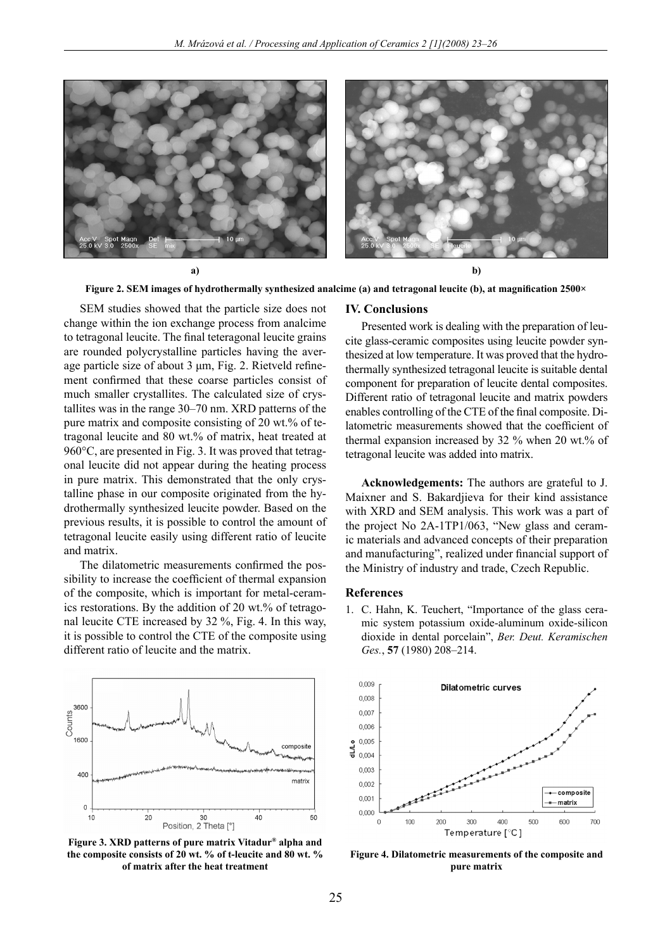

Figure 2. SEM images of hydrothermally synthesized analcime (a) and tetragonal leucite (b), at magnification 2500×

SEM studies showed that the particle size does not change within the ion exchange process from analcime to tetragonal leucite. The final teteragonal leucite grains are rounded polycrystalline particles having the average particle size of about  $3 \mu m$ , Fig. 2. Rietveld refinement confirmed that these coarse particles consist of much smaller crystallites. The calculated size of crystallites was in the range 30–70 nm. XRD patterns of the pure matrix and composite consisting of 20 wt.% of tetragonal leucite and 80 wt.% of matrix, heat treated at 960°C, are presented in Fig. 3. It was proved that tetragonal leucite did not appear during the heating process in pure matrix. This demonstrated that the only crystalline phase in our composite originated from the hydrothermally synthesized leucite powder. Based on the previous results, it is possible to control the amount of tetragonal leucite easily using different ratio of leucite and matrix.

The dilatometric measurements confirmed the possibility to increase the coefficient of thermal expansion of the composite, which is important for metal-ceramics restorations. By the addition of 20 wt.% of tetragonal leucite CTE increased by 32 %, Fig. 4. In this way, it is possible to control the CTE of the composite using different ratio of leucite and the matrix.



**Figure 3. XRD patterns of pure matrix Vitadur® alpha and the composite consists of 20 wt. % of t-leucite and 80 wt. % of matrix after the heat treatment**

#### **IV. Conclusions**

Presented work is dealing with the preparation of leucite glass-ceramic composites using leucite powder synthesized at low temperature. It was proved that the hydrothermally synthesized tetragonal leucite is suitable dental component for preparation of leucite dental composites. Different ratio of tetragonal leucite and matrix powders enables controlling of the CTE of the final composite. Dilatometric measurements showed that the coefficient of thermal expansion increased by 32 % when 20 wt.% of tetragonal leucite was added into matrix.

**Acknowledgements:** The authors are grateful to J. Maixner and S. Bakardjieva for their kind assistance with XRD and SEM analysis. This work was a part of the project No 2A-1TP1/063, "New glass and ceramic materials and advanced concepts of their preparation and manufacturing", realized under financial support of the Ministry of industry and trade, Czech Republic.

## **References**

1. C. Hahn, K. Teuchert, "Importance of the glass ceramic system potassium oxide-aluminum oxide-silicon dioxide in dental porcelain", *Ber. Deut. Keramischen Ges.*, **57** (1980) 208–214.



**Figure 4. Dilatometric measurements of the composite and pure matrix**